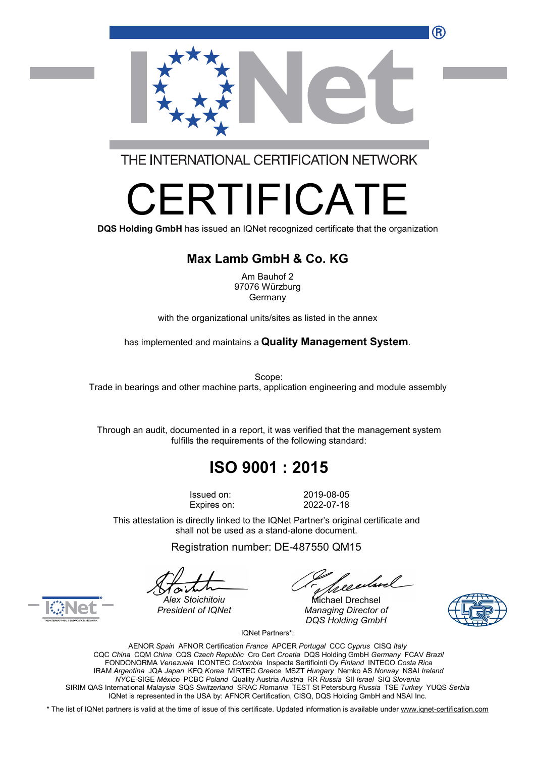

THE INTERNATIONAL CERTIFICATION NETWORK

# RTIFICA

**DQS Holding GmbH** has issued an IQNet recognized certificate that the organization

#### **Max Lamb GmbH & Co. KG**

Am Bauhof 2 97076 Würzburg Germany

with the organizational units/sites as listed in the annex

has implemented and maintains a **Quality Management System**.

Scope: Trade in bearings and other machine parts, application engineering and module assembly

Through an audit, documented in a report, it was verified that the management system fulfills the requirements of the following standard:

## **ISO 9001 : 2015**

Issued on: 2019-08-05 Expires on: 2022-07-18

This attestation is directly linked to the IQNet Partner's original certificate and shall not be used as a stand-alone document.

Registration number: DE-487550 QM15

*President of IQNet Managing Director of DQS Holding GmbH*





*Alex Stoichitoiu* Michael Drechsel

IQNet Partners\*:

AENOR *Spain* AFNOR Certification *France* APCER *Portugal* CCC *Cyprus* CISQ *Italy* CQC *China* CQM *China* CQS *Czech Republic* Cro Cert *Croatia* DQS Holding GmbH *Germany* FCAV *Brazil* FONDONORMA *Venezuela* ICONTEC *Colombia* Inspecta Sertifiointi Oy *Finland* INTECO *Costa Rica* IRAM *Argentina* JQA *Japan* KFQ *Korea* MIRTEC *Greece* MSZT *Hungary* Nemko AS *Norway* NSAI *Ireland NYCE-*SIGE *México* PCBC *Poland* Quality Austria *Austria* RR *Russia* SII *Israel* SIQ *Slovenia* SIRIM QAS International *Malaysia* SQS *Switzerland* SRAC *Romania* TEST St Petersburg *Russia* TSE *Turkey* YUQS *Serbia* IQNet is represented in the USA by: AFNOR Certification, CISQ, DQS Holding GmbH and NSAI Inc.

\* The list of IQNet partners is valid at the time of issue of this certificate. Updated information is available under [www.iqnet-certification.com](http://www.iqnet-certification.com)